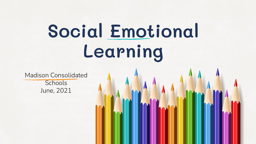## **Social Emotional Learning**

Madison Consolidated **Schools** June, 2021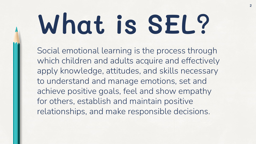# **What is SEL?**

Social emotional learning is the process through which children and adults acquire and effectively apply knowledge, attitudes, and skills necessary to understand and manage emotions, set and achieve positive goals, feel and show empathy for others, establish and maintain positive relationships, and make responsible decisions.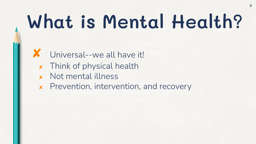## **What is Mental Health?**

- Universal--we all have it!
- ✘ Think of physical health
- ✘ Not mental illness

 $\Lambda$ 

✘ Prevention, intervention, and recovery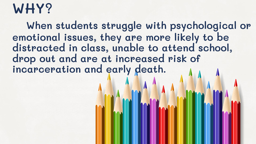### **WHY?**

 **When students struggle with psychological or emotional issues, they are more likely to be distracted in class, unable to attend school, drop out and are at increased risk of incarceration and early death.**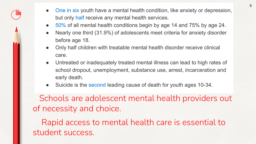- [One in six](https://jamanetwork.com/journals/jamapediatrics/fullarticle/2724377?guestAccessKey=f689aa19-31f1-481d-878a-6bf83844536a) youth have a mental health condition, like anxiety or depression, but only [half](https://jamanetwork.com/journals/jamapediatrics/fullarticle/2724377?guestAccessKey=f689aa19-31f1-481d-878a-6bf83844536a) receive any mental health services.
- [50%](https://pubmed.ncbi.nlm.nih.gov/15939837/) of all mental health conditions begin by age 14 and 75% by age 24.

A

- Nearly one third (31.9%) of adolescents meet criteria for anxiety disorder before age 18.
- Only half children with treatable mental health disorder receive clinical care.
- Untreated or inadequately treated mental illness can lead to high rates of school dropout, unemployment, substance use, arrest, incarceration and early death.
- Suicide is the [second](https://www.nimh.nih.gov/health/statistics/suicide.shtml) leading cause of death for youth ages 10-34.

 Schools are adolescent mental health providers out of necessity and choice.

 Rapid access to mental health care is essential to student success.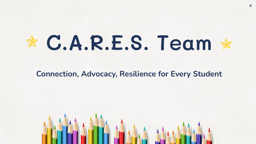# **C.A.R.E.S. Team**

#### **Connection, Advocacy, Resilience for Every Student**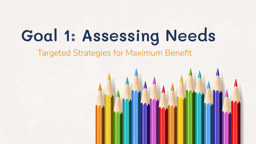### **Goal 1: Assessing Needs**

Targeted Strategies for Maximum Benefit

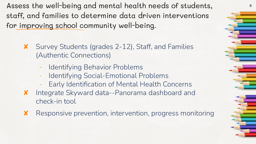Assess the well-being and mental health needs of students, staff, and families to determine data driven interventions for improving school community well-being.

- ✘ Survey Students (grades 2-12), Staff, and Families (Authentic Connections)
	- Identifying Behavior Problems
	- Identifying Social-Emotional Problems
	- Early Identification of Mental Health Concerns
- ✘ Integrate Skyward data--Panorama dashboard and check-in tool
- ✘ Responsive prevention, intervention, progress monitoring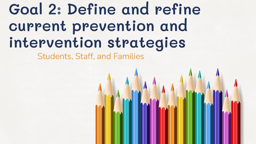### **Goal 2: Define and refine current prevention and intervention strategies**

Students, Staff, and Families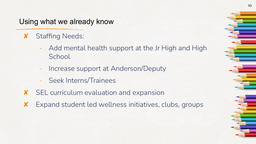#### Using what we already know

- ✘ Staffing Needs:
	- Add mental health support at the Jr High and High **School**
	- Increase support at Anderson/Deputy
	- Seek Interns/Trainees
- ✘ SEL curriculum evaluation and expansion
- ✘ Expand student led wellness initiatives, clubs, groups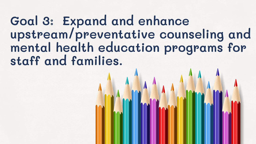### **Goal 3: Expand and enhance upstream/preventative counseling and mental health education programs for staff and families.**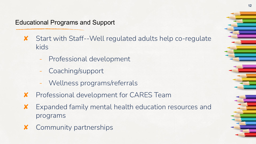#### Educational Programs and Support

- ✘ Start with Staff--Well regulated adults help co-regulate kids
	- Professional development
	- Coaching/support
	- Wellness programs/referrals
- ✘ Professional development for CARES Team
- ✘ Expanded family mental health education resources and programs
- ✘ Community partnerships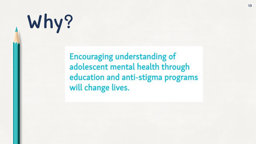# **Why?**

 $\Lambda$ 

**Encouraging understanding of** adolescent mental health through education and anti-stigma programs will change lives.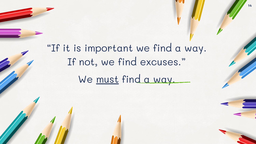"If it is important we find a way. If not, we find excuses." We must find a way.

**14**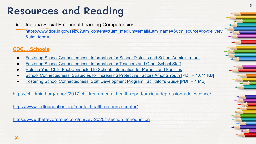### **Resources and Reading**

✘ Indiana Social Emotional Learning Competencies [https://www.doe.in.gov/sebw?utm\\_content=&utm\\_medium=email&utm\\_name=&utm\\_source=govdelivery](https://www.doe.in.gov/sebw?utm_content=&utm_medium=email&utm_name=&utm_source=govdelivery&utm_term=) [&utm\\_term=](https://www.doe.in.gov/sebw?utm_content=&utm_medium=email&utm_name=&utm_source=govdelivery&utm_term=)

#### **CDC….Schools**

- **[Fostering School Connectedness: Information for School Districts and School Administrators](https://www.cdc.gov/healthyyouth/protective/factsheets/connectedness_administrators.htm)**
- **[Fostering School Connectedness: Information for Teachers and Other School Staff](https://www.cdc.gov/healthyyouth/protective/factsheets/connectedness_teachers.htm)**
- **[Helping Your Child Feel Connected to School: Information for Parents and Families](https://www.cdc.gov/healthyyouth/protective/factsheets/connectedness_parents.htm)**
- [School Connectedness: Strategies for Increasing Protective Factors Among Youth \[PDF 1,011 KB\]](https://www.cdc.gov/healthyyouth/protective/pdf/connectedness.pdf)
- [Fostering School Connectedness: Staff Development Program Facilitator's Guide \[PDF 4 MB\]](https://www.cdc.gov/healthyyouth/protective/pdf/connectedness_facilitator_guide.pdf)

<https://childmind.org/report/2017-childrens-mental-health-report/anxiety-depression-adolescence/>

<https://www.jedfoundation.org/mental-health-resource-center/>

<https://www.thetrevorproject.org/survey-2020/?section=Introduction>